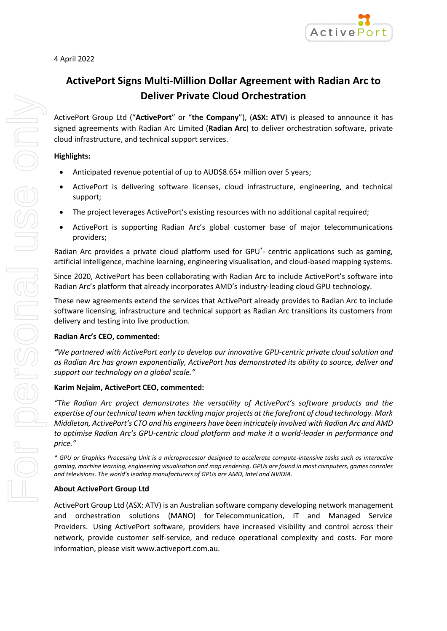# **ActivePort Signs Multi-Million Dollar Agreement with Radian Arc to Deliver Private Cloud Orchestration**

ActivePort Group Ltd ("**ActivePort**" or "**the Company**"), (**ASX: ATV**) is pleased to announce it has signed agreements with Radian Arc Limited (**Radian Arc**) to deliver orchestration software, private cloud infrastructure, and technical support services.

## **Highlights:**

- Anticipated revenue potential of up to AUD\$8.65+ million over 5 years;
- ActivePort is delivering software licenses, cloud infrastructure, engineering, and technical support;
- The project leverages ActivePort's existing resources with no additional capital required;
- ActivePort is supporting Radian Arc's global customer base of major telecommunications providers;

Radian Arc provides a private cloud platform used for GPU\* - centric applications such as gaming, artificial intelligence, machine learning, engineering visualisation, and cloud-based mapping systems.

Since 2020, ActivePort has been collaborating with Radian Arc to include ActivePort's software into Radian Arc's platform that already incorporates AMD's industry-leading cloud GPU technology.

These new agreements extend the services that ActivePort already provides to Radian Arc to include software licensing, infrastructure and technical support as Radian Arc transitions its customers from delivery and testing into live production.

## **Radian Arc's CEO, commented:**

*"We partnered with ActivePort early to develop our innovative GPU-centric private cloud solution and as Radian Arc has grown exponentially, ActivePort has demonstrated its ability to source, deliver and support our technology on a global scale."*

## **Karim Nejaim, ActivePort CEO, commented:**

*"The Radian Arc project demonstrates the versatility of ActivePort's software products and the expertise of our technical team when tackling major projects at the forefront of cloud technology. Mark Middleton, ActivePort's CTO and his engineers have been intricately involved with Radian Arc and AMD to optimise Radian Arc's GPU-centric cloud platform and make it a world-leader in performance and price."*

*\* GPU or Graphics Processing Unit is a microprocessor designed to accelerate compute-intensive tasks such as interactive gaming, machine learning, engineering visualisation and map rendering. GPUs are found in most computers, games consoles and televisions. The world's leading manufacturers of GPUs are AMD, Intel and NVIDIA.* 

## **About ActivePort Group Ltd**

ActivePort Group Ltd (ASX: ATV) is an Australian software company developing network management and orchestration solutions (MANO) for Telecommunication, IT and Managed Service Providers. Using ActivePort software, providers have increased visibility and control across their network, provide customer self-service, and reduce operational complexity and costs. For more information, please visit [www.activeport.com.au.](http://www.activeport.com.au/)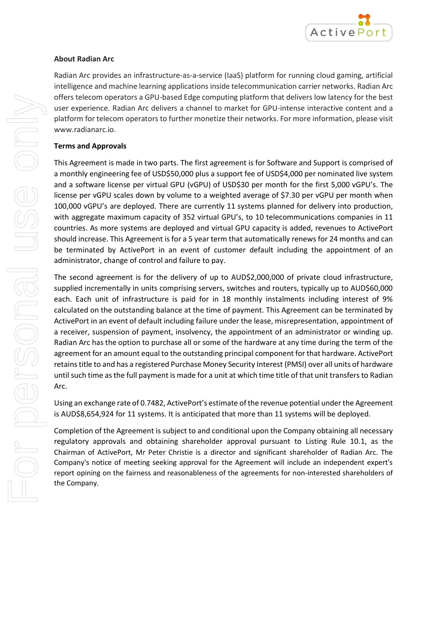

## **About Radian Arc**

Radian Arc provides an infrastructure-as-a-service (IaaS) platform for running cloud gaming, artificial intelligence and machine learning applications inside telecommunication carrier networks. Radian Arc offers telecom operators a GPU-based Edge computing platform that delivers low latency for the best user experience. Radian Arc delivers a channel to market for GPU-intense interactive content and a platform for telecom operators to further monetize their networks. For more information, please visit www.radianarc.io.

## **Terms and Approvals**

This Agreement is made in two parts. The first agreement is for Software and Support is comprised of a monthly engineering fee of USD\$50,000 plus a support fee of USD\$4,000 per nominated live system and a software license per virtual GPU (vGPU) of USD\$30 per month for the first 5,000 vGPU's. The license per vGPU scales down by volume to a weighted average of \$7.30 per vGPU per month when 100,000 vGPU's are deployed. There are currently 11 systems planned for delivery into production, with aggregate maximum capacity of 352 virtual GPU's, to 10 telecommunications companies in 11 countries. As more systems are deployed and virtual GPU capacity is added, revenues to ActivePort should increase. This Agreement is for a 5 year term that automatically renews for 24 months and can be terminated by ActivePort in an event of customer default including the appointment of an administrator, change of control and failure to pay.

The second agreement is for the delivery of up to AUD\$2,000,000 of private cloud infrastructure, supplied incrementally in units comprising servers, switches and routers, typically up to AUD\$60,000 each. Each unit of infrastructure is paid for in 18 monthly instalments including interest of 9% calculated on the outstanding balance at the time of payment. This Agreement can be terminated by ActivePort in an event of default including failure under the lease, misrepresentation, appointment of a receiver, suspension of payment, insolvency, the appointment of an administrator or winding up. Radian Arc has the option to purchase all or some of the hardware at any time during the term of the agreement for an amount equal to the outstanding principal component for that hardware. ActivePort retains title to and has a registered Purchase Money Security Interest (PMSI) over all units of hardware until such time as the full payment is made for a unit at which time title of that unit transfers to Radian Arc.

Using an exchange rate of 0.7482, ActivePort's estimate of the revenue potential under the Agreement is AUD\$8,654,924 for 11 systems. It is anticipated that more than 11 systems will be deployed.

Completion of the Agreement is subject to and conditional upon the Company obtaining all necessary regulatory approvals and obtaining shareholder approval pursuant to Listing Rule 10.1, as the Chairman of ActivePort, Mr Peter Christie is a director and significant shareholder of Radian Arc. The Company's notice of meeting seeking approval for the Agreement will include an independent expert's report opining on the fairness and reasonableness of the agreements for non-interested shareholders of the Company.